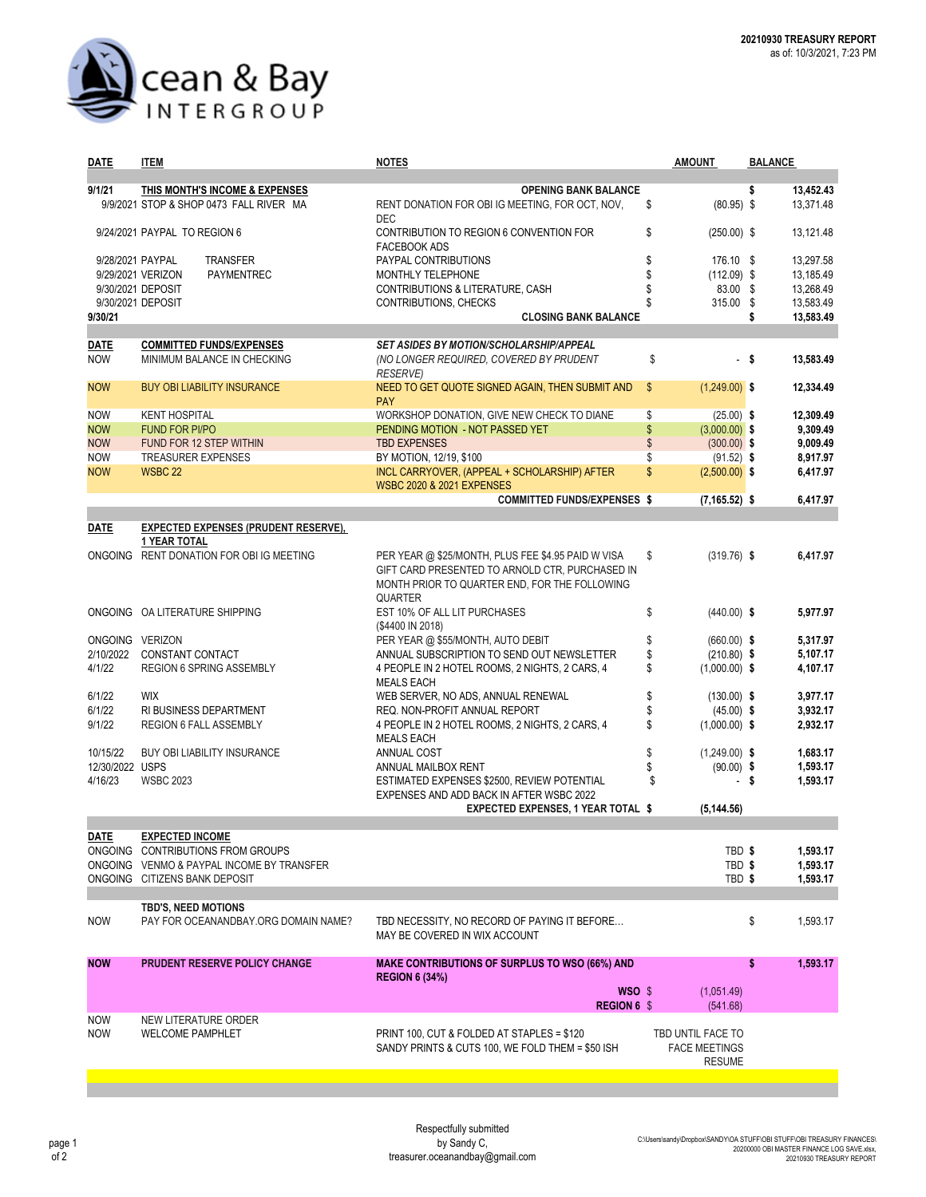

| 9/1/21<br>THIS MONTH'S INCOME & EXPENSES<br><b>OPENING BANK BALANCE</b><br>\$<br>13,452.43<br>9/9/2021 STOP & SHOP 0473 FALL RIVER MA<br>13,371.48<br>\$<br>$(80.95)$ \$<br>RENT DONATION FOR OBI IG MEETING, FOR OCT, NOV,<br><b>DEC</b><br>9/24/2021 PAYPAL TO REGION 6<br>\$<br>$(250.00)$ \$<br>13,121.48<br>CONTRIBUTION TO REGION 6 CONVENTION FOR<br><b>FACEBOOK ADS</b><br>\$<br>13,297.58<br>9/28/2021 PAYPAL<br><b>TRANSFER</b><br>PAYPAL CONTRIBUTIONS<br>176.10 \$<br>\$<br>9/29/2021 VERIZON<br>PAYMENTREC<br>MONTHLY TELEPHONE<br>$(112.09)$ \$<br>13,185.49<br>83.00 \$<br>13,268.49<br>9/30/2021 DEPOSIT<br>CONTRIBUTIONS & LITERATURE, CASH<br>\$<br>9/30/2021 DEPOSIT<br>315.00<br>\$<br>13,583.49<br>CONTRIBUTIONS, CHECKS<br>13,583.49<br>9/30/21<br><b>CLOSING BANK BALANCE</b><br>\$<br><b>SET ASIDES BY MOTION/SCHOLARSHIP/APPEAL</b><br><b>COMMITTED FUNDS/EXPENSES</b><br>DATE<br>\$<br>MINIMUM BALANCE IN CHECKING<br>13.583.49<br><b>NOW</b><br>(NO LONGER REQUIRED, COVERED BY PRUDENT<br>- \$<br><b>RESERVE)</b><br>$\mathsf{\$}$<br>$(1,249.00)$ \$<br>12,334.49<br><b>NOW</b><br><b>BUY OBI LIABILITY INSURANCE</b><br>NEED TO GET QUOTE SIGNED AGAIN, THEN SUBMIT AND<br><b>PAY</b><br>WORKSHOP DONATION, GIVE NEW CHECK TO DIANE<br>\$<br><b>NOW</b><br><b>KENT HOSPITAL</b><br>$(25.00)$ \$<br>12,309.49<br>\$<br><b>NOW</b><br><b>FUND FOR PI/PO</b><br>PENDING MOTION - NOT PASSED YET<br>$(3,000.00)$ \$<br>9,309.49<br>\$<br><b>NOW</b><br>FUND FOR 12 STEP WITHIN<br><b>TBD EXPENSES</b><br>$(300.00)$ \$<br>9,009.49<br>8,917.97<br><b>NOW</b><br><b>TREASURER EXPENSES</b><br>BY MOTION, 12/19, \$100<br>\$<br>$(91.52)$ \$<br>\$<br><b>NOW</b><br><b>WSBC 22</b><br>INCL CARRYOVER, (APPEAL + SCHOLARSHIP) AFTER<br>$(2,500.00)$ \$<br>6,417.97<br><b>WSBC 2020 &amp; 2021 EXPENSES</b><br><b>COMMITTED FUNDS/EXPENSES \$</b><br>$(7, 165.52)$ \$<br>6.417.97<br><b>DATE</b><br><b>EXPECTED EXPENSES (PRUDENT RESERVE),</b><br><b>1 YEAR TOTAL</b><br>ONGOING RENT DONATION FOR OBI IG MEETING<br>PER YEAR @ \$25/MONTH, PLUS FEE \$4.95 PAID W VISA<br>$(319.76)$ \$<br>6,417.97<br>\$<br>GIFT CARD PRESENTED TO ARNOLD CTR, PURCHASED IN<br>MONTH PRIOR TO QUARTER END, FOR THE FOLLOWING<br><b>QUARTER</b><br>ONGOING OA LITERATURE SHIPPING<br>EST 10% OF ALL LIT PURCHASES<br>\$<br>$(440.00)$ \$<br>5,977.97<br>(\$4400 IN 2018)<br>PER YEAR @ \$55/MONTH, AUTO DEBIT<br>\$<br>5,317.97<br>ONGOING VERIZON<br>$(660.00)$ \$<br>\$<br>2/10/2022<br>CONSTANT CONTACT<br>ANNUAL SUBSCRIPTION TO SEND OUT NEWSLETTER<br>$(210.80)$ \$<br>5,107.17<br>4/1/22<br><b>REGION 6 SPRING ASSEMBLY</b><br>\$<br>$(1,000.00)$ \$<br>4,107.17<br>4 PEOPLE IN 2 HOTEL ROOMS, 2 NIGHTS, 2 CARS, 4<br><b>MEALS EACH</b><br>\$<br>6/1/22<br><b>WIX</b><br>WEB SERVER, NO ADS, ANNUAL RENEWAL<br>$(130.00)$ \$<br>3,977.17<br>\$<br>6/1/22<br>RI BUSINESS DEPARTMENT<br>REQ. NON-PROFIT ANNUAL REPORT<br>3,932.17<br>$(45.00)$ \$<br>9/1/22<br>\$<br>REGION 6 FALL ASSEMBLY<br>4 PEOPLE IN 2 HOTEL ROOMS, 2 NIGHTS, 2 CARS, 4<br>$(1,000.00)$ \$<br>2,932.17<br><b>MEALS EACH</b><br>\$<br>10/15/22<br><b>BUY OBI LIABILITY INSURANCE</b><br><b>ANNUAL COST</b><br>$(1,249.00)$ \$<br>1,683.17<br>12/30/2022 USPS<br>\$<br>$(90.00)$ \$<br>1,593.17<br>ANNUAL MAILBOX RENT<br>4/16/23<br>\$<br><b>WSBC 2023</b><br>ESTIMATED EXPENSES \$2500, REVIEW POTENTIAL<br>- \$<br>1,593.17<br>EXPENSES AND ADD BACK IN AFTER WSBC 2022<br><b>EXPECTED EXPENSES, 1 YEAR TOTAL \$</b><br>(5, 144.56)<br><u>DATE</u><br><b>EXPECTED INCOME</b><br>TBD \$<br>ONGOING CONTRIBUTIONS FROM GROUPS<br>1,593.17<br>TBD <sub>\$</sub><br>ONGOING VENMO & PAYPAL INCOME BY TRANSFER<br>1,593.17<br>ONGOING CITIZENS BANK DEPOSIT<br>TBD \$<br>1,593.17<br>TBD'S, NEED MOTIONS<br>\$<br><b>NOW</b><br>PAY FOR OCEANANDBAY.ORG DOMAIN NAME?<br>TBD NECESSITY, NO RECORD OF PAYING IT BEFORE<br>1,593.17<br>MAY BE COVERED IN WIX ACCOUNT<br><b>NOW</b><br>PRUDENT RESERVE POLICY CHANGE<br><b>MAKE CONTRIBUTIONS OF SURPLUS TO WSO (66%) AND</b><br>\$<br>1,593.17<br><b>REGION 6 (34%)</b><br>$WSO \$<br>(1,051.49)<br>REGION 6 \$<br>(541.68)<br><b>NOW</b><br>NEW LITERATURE ORDER<br>PRINT 100, CUT & FOLDED AT STAPLES = \$120<br><b>NOW</b><br><b>WELCOME PAMPHLET</b><br>TBD UNTIL FACE TO<br>SANDY PRINTS & CUTS 100, WE FOLD THEM = \$50 ISH<br><b>FACE MEETINGS</b><br><b>RESUME</b> | <b>DATE</b> | <b>ITEM</b> | <b>NOTES</b> | <b>AMOUNT</b> | <b>BALANCE</b> |  |  |  |
|--------------------------------------------------------------------------------------------------------------------------------------------------------------------------------------------------------------------------------------------------------------------------------------------------------------------------------------------------------------------------------------------------------------------------------------------------------------------------------------------------------------------------------------------------------------------------------------------------------------------------------------------------------------------------------------------------------------------------------------------------------------------------------------------------------------------------------------------------------------------------------------------------------------------------------------------------------------------------------------------------------------------------------------------------------------------------------------------------------------------------------------------------------------------------------------------------------------------------------------------------------------------------------------------------------------------------------------------------------------------------------------------------------------------------------------------------------------------------------------------------------------------------------------------------------------------------------------------------------------------------------------------------------------------------------------------------------------------------------------------------------------------------------------------------------------------------------------------------------------------------------------------------------------------------------------------------------------------------------------------------------------------------------------------------------------------------------------------------------------------------------------------------------------------------------------------------------------------------------------------------------------------------------------------------------------------------------------------------------------------------------------------------------------------------------------------------------------------------------------------------------------------------------------------------------------------------------------------------------------------------------------------------------------------------------------------------------------------------------------------------------------------------------------------------------------------------------------------------------------------------------------------------------------------------------------------------------------------------------------------------------------------------------------------------------------------------------------------------------------------------------------------------------------------------------------------------------------------------------------------------------------------------------------------------------------------------------------------------------------------------------------------------------------------------------------------------------------------------------------------------------------------------------------------------------------------------------------------------------------------------------------------------------------------------------------------------------------------------------------------------------------------------------------------------------------------------------------------------------------------------------------------------------------------------------------------------------------------------------------------------------------------------------------------------------------------------------------------------------------------------------------------------------------------------------------------------------------------------------------------------------------------------------------------------------------------------------------------------------------------------------------------------------|-------------|-------------|--------------|---------------|----------------|--|--|--|
|                                                                                                                                                                                                                                                                                                                                                                                                                                                                                                                                                                                                                                                                                                                                                                                                                                                                                                                                                                                                                                                                                                                                                                                                                                                                                                                                                                                                                                                                                                                                                                                                                                                                                                                                                                                                                                                                                                                                                                                                                                                                                                                                                                                                                                                                                                                                                                                                                                                                                                                                                                                                                                                                                                                                                                                                                                                                                                                                                                                                                                                                                                                                                                                                                                                                                                                                                                                                                                                                                                                                                                                                                                                                                                                                                                                                                                                                                                                                                                                                                                                                                                                                                                                                                                                                                                                                                                                                        |             |             |              |               |                |  |  |  |
|                                                                                                                                                                                                                                                                                                                                                                                                                                                                                                                                                                                                                                                                                                                                                                                                                                                                                                                                                                                                                                                                                                                                                                                                                                                                                                                                                                                                                                                                                                                                                                                                                                                                                                                                                                                                                                                                                                                                                                                                                                                                                                                                                                                                                                                                                                                                                                                                                                                                                                                                                                                                                                                                                                                                                                                                                                                                                                                                                                                                                                                                                                                                                                                                                                                                                                                                                                                                                                                                                                                                                                                                                                                                                                                                                                                                                                                                                                                                                                                                                                                                                                                                                                                                                                                                                                                                                                                                        |             |             |              |               |                |  |  |  |
|                                                                                                                                                                                                                                                                                                                                                                                                                                                                                                                                                                                                                                                                                                                                                                                                                                                                                                                                                                                                                                                                                                                                                                                                                                                                                                                                                                                                                                                                                                                                                                                                                                                                                                                                                                                                                                                                                                                                                                                                                                                                                                                                                                                                                                                                                                                                                                                                                                                                                                                                                                                                                                                                                                                                                                                                                                                                                                                                                                                                                                                                                                                                                                                                                                                                                                                                                                                                                                                                                                                                                                                                                                                                                                                                                                                                                                                                                                                                                                                                                                                                                                                                                                                                                                                                                                                                                                                                        |             |             |              |               |                |  |  |  |
|                                                                                                                                                                                                                                                                                                                                                                                                                                                                                                                                                                                                                                                                                                                                                                                                                                                                                                                                                                                                                                                                                                                                                                                                                                                                                                                                                                                                                                                                                                                                                                                                                                                                                                                                                                                                                                                                                                                                                                                                                                                                                                                                                                                                                                                                                                                                                                                                                                                                                                                                                                                                                                                                                                                                                                                                                                                                                                                                                                                                                                                                                                                                                                                                                                                                                                                                                                                                                                                                                                                                                                                                                                                                                                                                                                                                                                                                                                                                                                                                                                                                                                                                                                                                                                                                                                                                                                                                        |             |             |              |               |                |  |  |  |
|                                                                                                                                                                                                                                                                                                                                                                                                                                                                                                                                                                                                                                                                                                                                                                                                                                                                                                                                                                                                                                                                                                                                                                                                                                                                                                                                                                                                                                                                                                                                                                                                                                                                                                                                                                                                                                                                                                                                                                                                                                                                                                                                                                                                                                                                                                                                                                                                                                                                                                                                                                                                                                                                                                                                                                                                                                                                                                                                                                                                                                                                                                                                                                                                                                                                                                                                                                                                                                                                                                                                                                                                                                                                                                                                                                                                                                                                                                                                                                                                                                                                                                                                                                                                                                                                                                                                                                                                        |             |             |              |               |                |  |  |  |
|                                                                                                                                                                                                                                                                                                                                                                                                                                                                                                                                                                                                                                                                                                                                                                                                                                                                                                                                                                                                                                                                                                                                                                                                                                                                                                                                                                                                                                                                                                                                                                                                                                                                                                                                                                                                                                                                                                                                                                                                                                                                                                                                                                                                                                                                                                                                                                                                                                                                                                                                                                                                                                                                                                                                                                                                                                                                                                                                                                                                                                                                                                                                                                                                                                                                                                                                                                                                                                                                                                                                                                                                                                                                                                                                                                                                                                                                                                                                                                                                                                                                                                                                                                                                                                                                                                                                                                                                        |             |             |              |               |                |  |  |  |
|                                                                                                                                                                                                                                                                                                                                                                                                                                                                                                                                                                                                                                                                                                                                                                                                                                                                                                                                                                                                                                                                                                                                                                                                                                                                                                                                                                                                                                                                                                                                                                                                                                                                                                                                                                                                                                                                                                                                                                                                                                                                                                                                                                                                                                                                                                                                                                                                                                                                                                                                                                                                                                                                                                                                                                                                                                                                                                                                                                                                                                                                                                                                                                                                                                                                                                                                                                                                                                                                                                                                                                                                                                                                                                                                                                                                                                                                                                                                                                                                                                                                                                                                                                                                                                                                                                                                                                                                        |             |             |              |               |                |  |  |  |
|                                                                                                                                                                                                                                                                                                                                                                                                                                                                                                                                                                                                                                                                                                                                                                                                                                                                                                                                                                                                                                                                                                                                                                                                                                                                                                                                                                                                                                                                                                                                                                                                                                                                                                                                                                                                                                                                                                                                                                                                                                                                                                                                                                                                                                                                                                                                                                                                                                                                                                                                                                                                                                                                                                                                                                                                                                                                                                                                                                                                                                                                                                                                                                                                                                                                                                                                                                                                                                                                                                                                                                                                                                                                                                                                                                                                                                                                                                                                                                                                                                                                                                                                                                                                                                                                                                                                                                                                        |             |             |              |               |                |  |  |  |
|                                                                                                                                                                                                                                                                                                                                                                                                                                                                                                                                                                                                                                                                                                                                                                                                                                                                                                                                                                                                                                                                                                                                                                                                                                                                                                                                                                                                                                                                                                                                                                                                                                                                                                                                                                                                                                                                                                                                                                                                                                                                                                                                                                                                                                                                                                                                                                                                                                                                                                                                                                                                                                                                                                                                                                                                                                                                                                                                                                                                                                                                                                                                                                                                                                                                                                                                                                                                                                                                                                                                                                                                                                                                                                                                                                                                                                                                                                                                                                                                                                                                                                                                                                                                                                                                                                                                                                                                        |             |             |              |               |                |  |  |  |
|                                                                                                                                                                                                                                                                                                                                                                                                                                                                                                                                                                                                                                                                                                                                                                                                                                                                                                                                                                                                                                                                                                                                                                                                                                                                                                                                                                                                                                                                                                                                                                                                                                                                                                                                                                                                                                                                                                                                                                                                                                                                                                                                                                                                                                                                                                                                                                                                                                                                                                                                                                                                                                                                                                                                                                                                                                                                                                                                                                                                                                                                                                                                                                                                                                                                                                                                                                                                                                                                                                                                                                                                                                                                                                                                                                                                                                                                                                                                                                                                                                                                                                                                                                                                                                                                                                                                                                                                        |             |             |              |               |                |  |  |  |
|                                                                                                                                                                                                                                                                                                                                                                                                                                                                                                                                                                                                                                                                                                                                                                                                                                                                                                                                                                                                                                                                                                                                                                                                                                                                                                                                                                                                                                                                                                                                                                                                                                                                                                                                                                                                                                                                                                                                                                                                                                                                                                                                                                                                                                                                                                                                                                                                                                                                                                                                                                                                                                                                                                                                                                                                                                                                                                                                                                                                                                                                                                                                                                                                                                                                                                                                                                                                                                                                                                                                                                                                                                                                                                                                                                                                                                                                                                                                                                                                                                                                                                                                                                                                                                                                                                                                                                                                        |             |             |              |               |                |  |  |  |
|                                                                                                                                                                                                                                                                                                                                                                                                                                                                                                                                                                                                                                                                                                                                                                                                                                                                                                                                                                                                                                                                                                                                                                                                                                                                                                                                                                                                                                                                                                                                                                                                                                                                                                                                                                                                                                                                                                                                                                                                                                                                                                                                                                                                                                                                                                                                                                                                                                                                                                                                                                                                                                                                                                                                                                                                                                                                                                                                                                                                                                                                                                                                                                                                                                                                                                                                                                                                                                                                                                                                                                                                                                                                                                                                                                                                                                                                                                                                                                                                                                                                                                                                                                                                                                                                                                                                                                                                        |             |             |              |               |                |  |  |  |
|                                                                                                                                                                                                                                                                                                                                                                                                                                                                                                                                                                                                                                                                                                                                                                                                                                                                                                                                                                                                                                                                                                                                                                                                                                                                                                                                                                                                                                                                                                                                                                                                                                                                                                                                                                                                                                                                                                                                                                                                                                                                                                                                                                                                                                                                                                                                                                                                                                                                                                                                                                                                                                                                                                                                                                                                                                                                                                                                                                                                                                                                                                                                                                                                                                                                                                                                                                                                                                                                                                                                                                                                                                                                                                                                                                                                                                                                                                                                                                                                                                                                                                                                                                                                                                                                                                                                                                                                        |             |             |              |               |                |  |  |  |
|                                                                                                                                                                                                                                                                                                                                                                                                                                                                                                                                                                                                                                                                                                                                                                                                                                                                                                                                                                                                                                                                                                                                                                                                                                                                                                                                                                                                                                                                                                                                                                                                                                                                                                                                                                                                                                                                                                                                                                                                                                                                                                                                                                                                                                                                                                                                                                                                                                                                                                                                                                                                                                                                                                                                                                                                                                                                                                                                                                                                                                                                                                                                                                                                                                                                                                                                                                                                                                                                                                                                                                                                                                                                                                                                                                                                                                                                                                                                                                                                                                                                                                                                                                                                                                                                                                                                                                                                        |             |             |              |               |                |  |  |  |
|                                                                                                                                                                                                                                                                                                                                                                                                                                                                                                                                                                                                                                                                                                                                                                                                                                                                                                                                                                                                                                                                                                                                                                                                                                                                                                                                                                                                                                                                                                                                                                                                                                                                                                                                                                                                                                                                                                                                                                                                                                                                                                                                                                                                                                                                                                                                                                                                                                                                                                                                                                                                                                                                                                                                                                                                                                                                                                                                                                                                                                                                                                                                                                                                                                                                                                                                                                                                                                                                                                                                                                                                                                                                                                                                                                                                                                                                                                                                                                                                                                                                                                                                                                                                                                                                                                                                                                                                        |             |             |              |               |                |  |  |  |
|                                                                                                                                                                                                                                                                                                                                                                                                                                                                                                                                                                                                                                                                                                                                                                                                                                                                                                                                                                                                                                                                                                                                                                                                                                                                                                                                                                                                                                                                                                                                                                                                                                                                                                                                                                                                                                                                                                                                                                                                                                                                                                                                                                                                                                                                                                                                                                                                                                                                                                                                                                                                                                                                                                                                                                                                                                                                                                                                                                                                                                                                                                                                                                                                                                                                                                                                                                                                                                                                                                                                                                                                                                                                                                                                                                                                                                                                                                                                                                                                                                                                                                                                                                                                                                                                                                                                                                                                        |             |             |              |               |                |  |  |  |
|                                                                                                                                                                                                                                                                                                                                                                                                                                                                                                                                                                                                                                                                                                                                                                                                                                                                                                                                                                                                                                                                                                                                                                                                                                                                                                                                                                                                                                                                                                                                                                                                                                                                                                                                                                                                                                                                                                                                                                                                                                                                                                                                                                                                                                                                                                                                                                                                                                                                                                                                                                                                                                                                                                                                                                                                                                                                                                                                                                                                                                                                                                                                                                                                                                                                                                                                                                                                                                                                                                                                                                                                                                                                                                                                                                                                                                                                                                                                                                                                                                                                                                                                                                                                                                                                                                                                                                                                        |             |             |              |               |                |  |  |  |
|                                                                                                                                                                                                                                                                                                                                                                                                                                                                                                                                                                                                                                                                                                                                                                                                                                                                                                                                                                                                                                                                                                                                                                                                                                                                                                                                                                                                                                                                                                                                                                                                                                                                                                                                                                                                                                                                                                                                                                                                                                                                                                                                                                                                                                                                                                                                                                                                                                                                                                                                                                                                                                                                                                                                                                                                                                                                                                                                                                                                                                                                                                                                                                                                                                                                                                                                                                                                                                                                                                                                                                                                                                                                                                                                                                                                                                                                                                                                                                                                                                                                                                                                                                                                                                                                                                                                                                                                        |             |             |              |               |                |  |  |  |
|                                                                                                                                                                                                                                                                                                                                                                                                                                                                                                                                                                                                                                                                                                                                                                                                                                                                                                                                                                                                                                                                                                                                                                                                                                                                                                                                                                                                                                                                                                                                                                                                                                                                                                                                                                                                                                                                                                                                                                                                                                                                                                                                                                                                                                                                                                                                                                                                                                                                                                                                                                                                                                                                                                                                                                                                                                                                                                                                                                                                                                                                                                                                                                                                                                                                                                                                                                                                                                                                                                                                                                                                                                                                                                                                                                                                                                                                                                                                                                                                                                                                                                                                                                                                                                                                                                                                                                                                        |             |             |              |               |                |  |  |  |
|                                                                                                                                                                                                                                                                                                                                                                                                                                                                                                                                                                                                                                                                                                                                                                                                                                                                                                                                                                                                                                                                                                                                                                                                                                                                                                                                                                                                                                                                                                                                                                                                                                                                                                                                                                                                                                                                                                                                                                                                                                                                                                                                                                                                                                                                                                                                                                                                                                                                                                                                                                                                                                                                                                                                                                                                                                                                                                                                                                                                                                                                                                                                                                                                                                                                                                                                                                                                                                                                                                                                                                                                                                                                                                                                                                                                                                                                                                                                                                                                                                                                                                                                                                                                                                                                                                                                                                                                        |             |             |              |               |                |  |  |  |
|                                                                                                                                                                                                                                                                                                                                                                                                                                                                                                                                                                                                                                                                                                                                                                                                                                                                                                                                                                                                                                                                                                                                                                                                                                                                                                                                                                                                                                                                                                                                                                                                                                                                                                                                                                                                                                                                                                                                                                                                                                                                                                                                                                                                                                                                                                                                                                                                                                                                                                                                                                                                                                                                                                                                                                                                                                                                                                                                                                                                                                                                                                                                                                                                                                                                                                                                                                                                                                                                                                                                                                                                                                                                                                                                                                                                                                                                                                                                                                                                                                                                                                                                                                                                                                                                                                                                                                                                        |             |             |              |               |                |  |  |  |
|                                                                                                                                                                                                                                                                                                                                                                                                                                                                                                                                                                                                                                                                                                                                                                                                                                                                                                                                                                                                                                                                                                                                                                                                                                                                                                                                                                                                                                                                                                                                                                                                                                                                                                                                                                                                                                                                                                                                                                                                                                                                                                                                                                                                                                                                                                                                                                                                                                                                                                                                                                                                                                                                                                                                                                                                                                                                                                                                                                                                                                                                                                                                                                                                                                                                                                                                                                                                                                                                                                                                                                                                                                                                                                                                                                                                                                                                                                                                                                                                                                                                                                                                                                                                                                                                                                                                                                                                        |             |             |              |               |                |  |  |  |
|                                                                                                                                                                                                                                                                                                                                                                                                                                                                                                                                                                                                                                                                                                                                                                                                                                                                                                                                                                                                                                                                                                                                                                                                                                                                                                                                                                                                                                                                                                                                                                                                                                                                                                                                                                                                                                                                                                                                                                                                                                                                                                                                                                                                                                                                                                                                                                                                                                                                                                                                                                                                                                                                                                                                                                                                                                                                                                                                                                                                                                                                                                                                                                                                                                                                                                                                                                                                                                                                                                                                                                                                                                                                                                                                                                                                                                                                                                                                                                                                                                                                                                                                                                                                                                                                                                                                                                                                        |             |             |              |               |                |  |  |  |
|                                                                                                                                                                                                                                                                                                                                                                                                                                                                                                                                                                                                                                                                                                                                                                                                                                                                                                                                                                                                                                                                                                                                                                                                                                                                                                                                                                                                                                                                                                                                                                                                                                                                                                                                                                                                                                                                                                                                                                                                                                                                                                                                                                                                                                                                                                                                                                                                                                                                                                                                                                                                                                                                                                                                                                                                                                                                                                                                                                                                                                                                                                                                                                                                                                                                                                                                                                                                                                                                                                                                                                                                                                                                                                                                                                                                                                                                                                                                                                                                                                                                                                                                                                                                                                                                                                                                                                                                        |             |             |              |               |                |  |  |  |
|                                                                                                                                                                                                                                                                                                                                                                                                                                                                                                                                                                                                                                                                                                                                                                                                                                                                                                                                                                                                                                                                                                                                                                                                                                                                                                                                                                                                                                                                                                                                                                                                                                                                                                                                                                                                                                                                                                                                                                                                                                                                                                                                                                                                                                                                                                                                                                                                                                                                                                                                                                                                                                                                                                                                                                                                                                                                                                                                                                                                                                                                                                                                                                                                                                                                                                                                                                                                                                                                                                                                                                                                                                                                                                                                                                                                                                                                                                                                                                                                                                                                                                                                                                                                                                                                                                                                                                                                        |             |             |              |               |                |  |  |  |
|                                                                                                                                                                                                                                                                                                                                                                                                                                                                                                                                                                                                                                                                                                                                                                                                                                                                                                                                                                                                                                                                                                                                                                                                                                                                                                                                                                                                                                                                                                                                                                                                                                                                                                                                                                                                                                                                                                                                                                                                                                                                                                                                                                                                                                                                                                                                                                                                                                                                                                                                                                                                                                                                                                                                                                                                                                                                                                                                                                                                                                                                                                                                                                                                                                                                                                                                                                                                                                                                                                                                                                                                                                                                                                                                                                                                                                                                                                                                                                                                                                                                                                                                                                                                                                                                                                                                                                                                        |             |             |              |               |                |  |  |  |
|                                                                                                                                                                                                                                                                                                                                                                                                                                                                                                                                                                                                                                                                                                                                                                                                                                                                                                                                                                                                                                                                                                                                                                                                                                                                                                                                                                                                                                                                                                                                                                                                                                                                                                                                                                                                                                                                                                                                                                                                                                                                                                                                                                                                                                                                                                                                                                                                                                                                                                                                                                                                                                                                                                                                                                                                                                                                                                                                                                                                                                                                                                                                                                                                                                                                                                                                                                                                                                                                                                                                                                                                                                                                                                                                                                                                                                                                                                                                                                                                                                                                                                                                                                                                                                                                                                                                                                                                        |             |             |              |               |                |  |  |  |
|                                                                                                                                                                                                                                                                                                                                                                                                                                                                                                                                                                                                                                                                                                                                                                                                                                                                                                                                                                                                                                                                                                                                                                                                                                                                                                                                                                                                                                                                                                                                                                                                                                                                                                                                                                                                                                                                                                                                                                                                                                                                                                                                                                                                                                                                                                                                                                                                                                                                                                                                                                                                                                                                                                                                                                                                                                                                                                                                                                                                                                                                                                                                                                                                                                                                                                                                                                                                                                                                                                                                                                                                                                                                                                                                                                                                                                                                                                                                                                                                                                                                                                                                                                                                                                                                                                                                                                                                        |             |             |              |               |                |  |  |  |
|                                                                                                                                                                                                                                                                                                                                                                                                                                                                                                                                                                                                                                                                                                                                                                                                                                                                                                                                                                                                                                                                                                                                                                                                                                                                                                                                                                                                                                                                                                                                                                                                                                                                                                                                                                                                                                                                                                                                                                                                                                                                                                                                                                                                                                                                                                                                                                                                                                                                                                                                                                                                                                                                                                                                                                                                                                                                                                                                                                                                                                                                                                                                                                                                                                                                                                                                                                                                                                                                                                                                                                                                                                                                                                                                                                                                                                                                                                                                                                                                                                                                                                                                                                                                                                                                                                                                                                                                        |             |             |              |               |                |  |  |  |
|                                                                                                                                                                                                                                                                                                                                                                                                                                                                                                                                                                                                                                                                                                                                                                                                                                                                                                                                                                                                                                                                                                                                                                                                                                                                                                                                                                                                                                                                                                                                                                                                                                                                                                                                                                                                                                                                                                                                                                                                                                                                                                                                                                                                                                                                                                                                                                                                                                                                                                                                                                                                                                                                                                                                                                                                                                                                                                                                                                                                                                                                                                                                                                                                                                                                                                                                                                                                                                                                                                                                                                                                                                                                                                                                                                                                                                                                                                                                                                                                                                                                                                                                                                                                                                                                                                                                                                                                        |             |             |              |               |                |  |  |  |
|                                                                                                                                                                                                                                                                                                                                                                                                                                                                                                                                                                                                                                                                                                                                                                                                                                                                                                                                                                                                                                                                                                                                                                                                                                                                                                                                                                                                                                                                                                                                                                                                                                                                                                                                                                                                                                                                                                                                                                                                                                                                                                                                                                                                                                                                                                                                                                                                                                                                                                                                                                                                                                                                                                                                                                                                                                                                                                                                                                                                                                                                                                                                                                                                                                                                                                                                                                                                                                                                                                                                                                                                                                                                                                                                                                                                                                                                                                                                                                                                                                                                                                                                                                                                                                                                                                                                                                                                        |             |             |              |               |                |  |  |  |
|                                                                                                                                                                                                                                                                                                                                                                                                                                                                                                                                                                                                                                                                                                                                                                                                                                                                                                                                                                                                                                                                                                                                                                                                                                                                                                                                                                                                                                                                                                                                                                                                                                                                                                                                                                                                                                                                                                                                                                                                                                                                                                                                                                                                                                                                                                                                                                                                                                                                                                                                                                                                                                                                                                                                                                                                                                                                                                                                                                                                                                                                                                                                                                                                                                                                                                                                                                                                                                                                                                                                                                                                                                                                                                                                                                                                                                                                                                                                                                                                                                                                                                                                                                                                                                                                                                                                                                                                        |             |             |              |               |                |  |  |  |
|                                                                                                                                                                                                                                                                                                                                                                                                                                                                                                                                                                                                                                                                                                                                                                                                                                                                                                                                                                                                                                                                                                                                                                                                                                                                                                                                                                                                                                                                                                                                                                                                                                                                                                                                                                                                                                                                                                                                                                                                                                                                                                                                                                                                                                                                                                                                                                                                                                                                                                                                                                                                                                                                                                                                                                                                                                                                                                                                                                                                                                                                                                                                                                                                                                                                                                                                                                                                                                                                                                                                                                                                                                                                                                                                                                                                                                                                                                                                                                                                                                                                                                                                                                                                                                                                                                                                                                                                        |             |             |              |               |                |  |  |  |
|                                                                                                                                                                                                                                                                                                                                                                                                                                                                                                                                                                                                                                                                                                                                                                                                                                                                                                                                                                                                                                                                                                                                                                                                                                                                                                                                                                                                                                                                                                                                                                                                                                                                                                                                                                                                                                                                                                                                                                                                                                                                                                                                                                                                                                                                                                                                                                                                                                                                                                                                                                                                                                                                                                                                                                                                                                                                                                                                                                                                                                                                                                                                                                                                                                                                                                                                                                                                                                                                                                                                                                                                                                                                                                                                                                                                                                                                                                                                                                                                                                                                                                                                                                                                                                                                                                                                                                                                        |             |             |              |               |                |  |  |  |
|                                                                                                                                                                                                                                                                                                                                                                                                                                                                                                                                                                                                                                                                                                                                                                                                                                                                                                                                                                                                                                                                                                                                                                                                                                                                                                                                                                                                                                                                                                                                                                                                                                                                                                                                                                                                                                                                                                                                                                                                                                                                                                                                                                                                                                                                                                                                                                                                                                                                                                                                                                                                                                                                                                                                                                                                                                                                                                                                                                                                                                                                                                                                                                                                                                                                                                                                                                                                                                                                                                                                                                                                                                                                                                                                                                                                                                                                                                                                                                                                                                                                                                                                                                                                                                                                                                                                                                                                        |             |             |              |               |                |  |  |  |
|                                                                                                                                                                                                                                                                                                                                                                                                                                                                                                                                                                                                                                                                                                                                                                                                                                                                                                                                                                                                                                                                                                                                                                                                                                                                                                                                                                                                                                                                                                                                                                                                                                                                                                                                                                                                                                                                                                                                                                                                                                                                                                                                                                                                                                                                                                                                                                                                                                                                                                                                                                                                                                                                                                                                                                                                                                                                                                                                                                                                                                                                                                                                                                                                                                                                                                                                                                                                                                                                                                                                                                                                                                                                                                                                                                                                                                                                                                                                                                                                                                                                                                                                                                                                                                                                                                                                                                                                        |             |             |              |               |                |  |  |  |
|                                                                                                                                                                                                                                                                                                                                                                                                                                                                                                                                                                                                                                                                                                                                                                                                                                                                                                                                                                                                                                                                                                                                                                                                                                                                                                                                                                                                                                                                                                                                                                                                                                                                                                                                                                                                                                                                                                                                                                                                                                                                                                                                                                                                                                                                                                                                                                                                                                                                                                                                                                                                                                                                                                                                                                                                                                                                                                                                                                                                                                                                                                                                                                                                                                                                                                                                                                                                                                                                                                                                                                                                                                                                                                                                                                                                                                                                                                                                                                                                                                                                                                                                                                                                                                                                                                                                                                                                        |             |             |              |               |                |  |  |  |
|                                                                                                                                                                                                                                                                                                                                                                                                                                                                                                                                                                                                                                                                                                                                                                                                                                                                                                                                                                                                                                                                                                                                                                                                                                                                                                                                                                                                                                                                                                                                                                                                                                                                                                                                                                                                                                                                                                                                                                                                                                                                                                                                                                                                                                                                                                                                                                                                                                                                                                                                                                                                                                                                                                                                                                                                                                                                                                                                                                                                                                                                                                                                                                                                                                                                                                                                                                                                                                                                                                                                                                                                                                                                                                                                                                                                                                                                                                                                                                                                                                                                                                                                                                                                                                                                                                                                                                                                        |             |             |              |               |                |  |  |  |
|                                                                                                                                                                                                                                                                                                                                                                                                                                                                                                                                                                                                                                                                                                                                                                                                                                                                                                                                                                                                                                                                                                                                                                                                                                                                                                                                                                                                                                                                                                                                                                                                                                                                                                                                                                                                                                                                                                                                                                                                                                                                                                                                                                                                                                                                                                                                                                                                                                                                                                                                                                                                                                                                                                                                                                                                                                                                                                                                                                                                                                                                                                                                                                                                                                                                                                                                                                                                                                                                                                                                                                                                                                                                                                                                                                                                                                                                                                                                                                                                                                                                                                                                                                                                                                                                                                                                                                                                        |             |             |              |               |                |  |  |  |
|                                                                                                                                                                                                                                                                                                                                                                                                                                                                                                                                                                                                                                                                                                                                                                                                                                                                                                                                                                                                                                                                                                                                                                                                                                                                                                                                                                                                                                                                                                                                                                                                                                                                                                                                                                                                                                                                                                                                                                                                                                                                                                                                                                                                                                                                                                                                                                                                                                                                                                                                                                                                                                                                                                                                                                                                                                                                                                                                                                                                                                                                                                                                                                                                                                                                                                                                                                                                                                                                                                                                                                                                                                                                                                                                                                                                                                                                                                                                                                                                                                                                                                                                                                                                                                                                                                                                                                                                        |             |             |              |               |                |  |  |  |
|                                                                                                                                                                                                                                                                                                                                                                                                                                                                                                                                                                                                                                                                                                                                                                                                                                                                                                                                                                                                                                                                                                                                                                                                                                                                                                                                                                                                                                                                                                                                                                                                                                                                                                                                                                                                                                                                                                                                                                                                                                                                                                                                                                                                                                                                                                                                                                                                                                                                                                                                                                                                                                                                                                                                                                                                                                                                                                                                                                                                                                                                                                                                                                                                                                                                                                                                                                                                                                                                                                                                                                                                                                                                                                                                                                                                                                                                                                                                                                                                                                                                                                                                                                                                                                                                                                                                                                                                        |             |             |              |               |                |  |  |  |
|                                                                                                                                                                                                                                                                                                                                                                                                                                                                                                                                                                                                                                                                                                                                                                                                                                                                                                                                                                                                                                                                                                                                                                                                                                                                                                                                                                                                                                                                                                                                                                                                                                                                                                                                                                                                                                                                                                                                                                                                                                                                                                                                                                                                                                                                                                                                                                                                                                                                                                                                                                                                                                                                                                                                                                                                                                                                                                                                                                                                                                                                                                                                                                                                                                                                                                                                                                                                                                                                                                                                                                                                                                                                                                                                                                                                                                                                                                                                                                                                                                                                                                                                                                                                                                                                                                                                                                                                        |             |             |              |               |                |  |  |  |
|                                                                                                                                                                                                                                                                                                                                                                                                                                                                                                                                                                                                                                                                                                                                                                                                                                                                                                                                                                                                                                                                                                                                                                                                                                                                                                                                                                                                                                                                                                                                                                                                                                                                                                                                                                                                                                                                                                                                                                                                                                                                                                                                                                                                                                                                                                                                                                                                                                                                                                                                                                                                                                                                                                                                                                                                                                                                                                                                                                                                                                                                                                                                                                                                                                                                                                                                                                                                                                                                                                                                                                                                                                                                                                                                                                                                                                                                                                                                                                                                                                                                                                                                                                                                                                                                                                                                                                                                        |             |             |              |               |                |  |  |  |
|                                                                                                                                                                                                                                                                                                                                                                                                                                                                                                                                                                                                                                                                                                                                                                                                                                                                                                                                                                                                                                                                                                                                                                                                                                                                                                                                                                                                                                                                                                                                                                                                                                                                                                                                                                                                                                                                                                                                                                                                                                                                                                                                                                                                                                                                                                                                                                                                                                                                                                                                                                                                                                                                                                                                                                                                                                                                                                                                                                                                                                                                                                                                                                                                                                                                                                                                                                                                                                                                                                                                                                                                                                                                                                                                                                                                                                                                                                                                                                                                                                                                                                                                                                                                                                                                                                                                                                                                        |             |             |              |               |                |  |  |  |
|                                                                                                                                                                                                                                                                                                                                                                                                                                                                                                                                                                                                                                                                                                                                                                                                                                                                                                                                                                                                                                                                                                                                                                                                                                                                                                                                                                                                                                                                                                                                                                                                                                                                                                                                                                                                                                                                                                                                                                                                                                                                                                                                                                                                                                                                                                                                                                                                                                                                                                                                                                                                                                                                                                                                                                                                                                                                                                                                                                                                                                                                                                                                                                                                                                                                                                                                                                                                                                                                                                                                                                                                                                                                                                                                                                                                                                                                                                                                                                                                                                                                                                                                                                                                                                                                                                                                                                                                        |             |             |              |               |                |  |  |  |
|                                                                                                                                                                                                                                                                                                                                                                                                                                                                                                                                                                                                                                                                                                                                                                                                                                                                                                                                                                                                                                                                                                                                                                                                                                                                                                                                                                                                                                                                                                                                                                                                                                                                                                                                                                                                                                                                                                                                                                                                                                                                                                                                                                                                                                                                                                                                                                                                                                                                                                                                                                                                                                                                                                                                                                                                                                                                                                                                                                                                                                                                                                                                                                                                                                                                                                                                                                                                                                                                                                                                                                                                                                                                                                                                                                                                                                                                                                                                                                                                                                                                                                                                                                                                                                                                                                                                                                                                        |             |             |              |               |                |  |  |  |
|                                                                                                                                                                                                                                                                                                                                                                                                                                                                                                                                                                                                                                                                                                                                                                                                                                                                                                                                                                                                                                                                                                                                                                                                                                                                                                                                                                                                                                                                                                                                                                                                                                                                                                                                                                                                                                                                                                                                                                                                                                                                                                                                                                                                                                                                                                                                                                                                                                                                                                                                                                                                                                                                                                                                                                                                                                                                                                                                                                                                                                                                                                                                                                                                                                                                                                                                                                                                                                                                                                                                                                                                                                                                                                                                                                                                                                                                                                                                                                                                                                                                                                                                                                                                                                                                                                                                                                                                        |             |             |              |               |                |  |  |  |
|                                                                                                                                                                                                                                                                                                                                                                                                                                                                                                                                                                                                                                                                                                                                                                                                                                                                                                                                                                                                                                                                                                                                                                                                                                                                                                                                                                                                                                                                                                                                                                                                                                                                                                                                                                                                                                                                                                                                                                                                                                                                                                                                                                                                                                                                                                                                                                                                                                                                                                                                                                                                                                                                                                                                                                                                                                                                                                                                                                                                                                                                                                                                                                                                                                                                                                                                                                                                                                                                                                                                                                                                                                                                                                                                                                                                                                                                                                                                                                                                                                                                                                                                                                                                                                                                                                                                                                                                        |             |             |              |               |                |  |  |  |
|                                                                                                                                                                                                                                                                                                                                                                                                                                                                                                                                                                                                                                                                                                                                                                                                                                                                                                                                                                                                                                                                                                                                                                                                                                                                                                                                                                                                                                                                                                                                                                                                                                                                                                                                                                                                                                                                                                                                                                                                                                                                                                                                                                                                                                                                                                                                                                                                                                                                                                                                                                                                                                                                                                                                                                                                                                                                                                                                                                                                                                                                                                                                                                                                                                                                                                                                                                                                                                                                                                                                                                                                                                                                                                                                                                                                                                                                                                                                                                                                                                                                                                                                                                                                                                                                                                                                                                                                        |             |             |              |               |                |  |  |  |
|                                                                                                                                                                                                                                                                                                                                                                                                                                                                                                                                                                                                                                                                                                                                                                                                                                                                                                                                                                                                                                                                                                                                                                                                                                                                                                                                                                                                                                                                                                                                                                                                                                                                                                                                                                                                                                                                                                                                                                                                                                                                                                                                                                                                                                                                                                                                                                                                                                                                                                                                                                                                                                                                                                                                                                                                                                                                                                                                                                                                                                                                                                                                                                                                                                                                                                                                                                                                                                                                                                                                                                                                                                                                                                                                                                                                                                                                                                                                                                                                                                                                                                                                                                                                                                                                                                                                                                                                        |             |             |              |               |                |  |  |  |
|                                                                                                                                                                                                                                                                                                                                                                                                                                                                                                                                                                                                                                                                                                                                                                                                                                                                                                                                                                                                                                                                                                                                                                                                                                                                                                                                                                                                                                                                                                                                                                                                                                                                                                                                                                                                                                                                                                                                                                                                                                                                                                                                                                                                                                                                                                                                                                                                                                                                                                                                                                                                                                                                                                                                                                                                                                                                                                                                                                                                                                                                                                                                                                                                                                                                                                                                                                                                                                                                                                                                                                                                                                                                                                                                                                                                                                                                                                                                                                                                                                                                                                                                                                                                                                                                                                                                                                                                        |             |             |              |               |                |  |  |  |
|                                                                                                                                                                                                                                                                                                                                                                                                                                                                                                                                                                                                                                                                                                                                                                                                                                                                                                                                                                                                                                                                                                                                                                                                                                                                                                                                                                                                                                                                                                                                                                                                                                                                                                                                                                                                                                                                                                                                                                                                                                                                                                                                                                                                                                                                                                                                                                                                                                                                                                                                                                                                                                                                                                                                                                                                                                                                                                                                                                                                                                                                                                                                                                                                                                                                                                                                                                                                                                                                                                                                                                                                                                                                                                                                                                                                                                                                                                                                                                                                                                                                                                                                                                                                                                                                                                                                                                                                        |             |             |              |               |                |  |  |  |
|                                                                                                                                                                                                                                                                                                                                                                                                                                                                                                                                                                                                                                                                                                                                                                                                                                                                                                                                                                                                                                                                                                                                                                                                                                                                                                                                                                                                                                                                                                                                                                                                                                                                                                                                                                                                                                                                                                                                                                                                                                                                                                                                                                                                                                                                                                                                                                                                                                                                                                                                                                                                                                                                                                                                                                                                                                                                                                                                                                                                                                                                                                                                                                                                                                                                                                                                                                                                                                                                                                                                                                                                                                                                                                                                                                                                                                                                                                                                                                                                                                                                                                                                                                                                                                                                                                                                                                                                        |             |             |              |               |                |  |  |  |
|                                                                                                                                                                                                                                                                                                                                                                                                                                                                                                                                                                                                                                                                                                                                                                                                                                                                                                                                                                                                                                                                                                                                                                                                                                                                                                                                                                                                                                                                                                                                                                                                                                                                                                                                                                                                                                                                                                                                                                                                                                                                                                                                                                                                                                                                                                                                                                                                                                                                                                                                                                                                                                                                                                                                                                                                                                                                                                                                                                                                                                                                                                                                                                                                                                                                                                                                                                                                                                                                                                                                                                                                                                                                                                                                                                                                                                                                                                                                                                                                                                                                                                                                                                                                                                                                                                                                                                                                        |             |             |              |               |                |  |  |  |
|                                                                                                                                                                                                                                                                                                                                                                                                                                                                                                                                                                                                                                                                                                                                                                                                                                                                                                                                                                                                                                                                                                                                                                                                                                                                                                                                                                                                                                                                                                                                                                                                                                                                                                                                                                                                                                                                                                                                                                                                                                                                                                                                                                                                                                                                                                                                                                                                                                                                                                                                                                                                                                                                                                                                                                                                                                                                                                                                                                                                                                                                                                                                                                                                                                                                                                                                                                                                                                                                                                                                                                                                                                                                                                                                                                                                                                                                                                                                                                                                                                                                                                                                                                                                                                                                                                                                                                                                        |             |             |              |               |                |  |  |  |
|                                                                                                                                                                                                                                                                                                                                                                                                                                                                                                                                                                                                                                                                                                                                                                                                                                                                                                                                                                                                                                                                                                                                                                                                                                                                                                                                                                                                                                                                                                                                                                                                                                                                                                                                                                                                                                                                                                                                                                                                                                                                                                                                                                                                                                                                                                                                                                                                                                                                                                                                                                                                                                                                                                                                                                                                                                                                                                                                                                                                                                                                                                                                                                                                                                                                                                                                                                                                                                                                                                                                                                                                                                                                                                                                                                                                                                                                                                                                                                                                                                                                                                                                                                                                                                                                                                                                                                                                        |             |             |              |               |                |  |  |  |
|                                                                                                                                                                                                                                                                                                                                                                                                                                                                                                                                                                                                                                                                                                                                                                                                                                                                                                                                                                                                                                                                                                                                                                                                                                                                                                                                                                                                                                                                                                                                                                                                                                                                                                                                                                                                                                                                                                                                                                                                                                                                                                                                                                                                                                                                                                                                                                                                                                                                                                                                                                                                                                                                                                                                                                                                                                                                                                                                                                                                                                                                                                                                                                                                                                                                                                                                                                                                                                                                                                                                                                                                                                                                                                                                                                                                                                                                                                                                                                                                                                                                                                                                                                                                                                                                                                                                                                                                        |             |             |              |               |                |  |  |  |
|                                                                                                                                                                                                                                                                                                                                                                                                                                                                                                                                                                                                                                                                                                                                                                                                                                                                                                                                                                                                                                                                                                                                                                                                                                                                                                                                                                                                                                                                                                                                                                                                                                                                                                                                                                                                                                                                                                                                                                                                                                                                                                                                                                                                                                                                                                                                                                                                                                                                                                                                                                                                                                                                                                                                                                                                                                                                                                                                                                                                                                                                                                                                                                                                                                                                                                                                                                                                                                                                                                                                                                                                                                                                                                                                                                                                                                                                                                                                                                                                                                                                                                                                                                                                                                                                                                                                                                                                        |             |             |              |               |                |  |  |  |